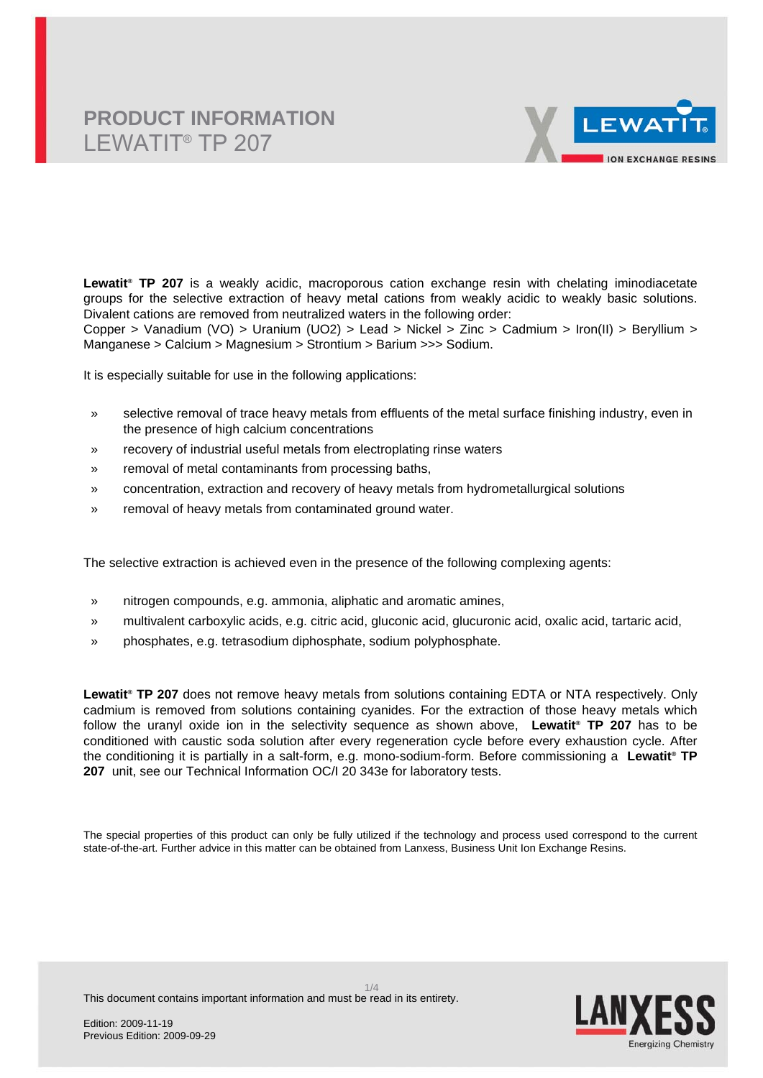

**Lewatit® TP 207** is a weakly acidic, macroporous cation exchange resin with chelating iminodiacetate groups for the selective extraction of heavy metal cations from weakly acidic to weakly basic solutions. Divalent cations are removed from neutralized waters in the following order:

Copper > Vanadium (VO) > Uranium (UO2) > Lead > Nickel > Zinc > Cadmium > Iron(II) > Beryllium > Manganese > Calcium > Magnesium > Strontium > Barium >>> Sodium.

It is especially suitable for use in the following applications:

- » selective removal of trace heavy metals from effluents of the metal surface finishing industry, even in the presence of high calcium concentrations
- » recovery of industrial useful metals from electroplating rinse waters
- » removal of metal contaminants from processing baths,
- » concentration, extraction and recovery of heavy metals from hydrometallurgical solutions
- » removal of heavy metals from contaminated ground water.

The selective extraction is achieved even in the presence of the following complexing agents:

- » nitrogen compounds, e.g. ammonia, aliphatic and aromatic amines,
- » multivalent carboxylic acids, e.g. citric acid, gluconic acid, glucuronic acid, oxalic acid, tartaric acid,
- » phosphates, e.g. tetrasodium diphosphate, sodium polyphosphate.

**Lewatit® TP 207** does not remove heavy metals from solutions containing EDTA or NTA respectively. Only cadmium is removed from solutions containing cyanides. For the extraction of those heavy metals which follow the uranyl oxide ion in the selectivity sequence as shown above, **Lewatit® TP 207** has to be conditioned with caustic soda solution after every regeneration cycle before every exhaustion cycle. After the conditioning it is partially in a salt-form, e.g. mono-sodium-form. Before commissioning a **Lewatit® TP 207** unit, see our Technical Information OC/I 20 343e for laboratory tests.

The special properties of this product can only be fully utilized if the technology and process used correspond to the current state-of-the-art. Further advice in this matter can be obtained from Lanxess, Business Unit Ion Exchange Resins.



This document contains important information and must be read in its entirety.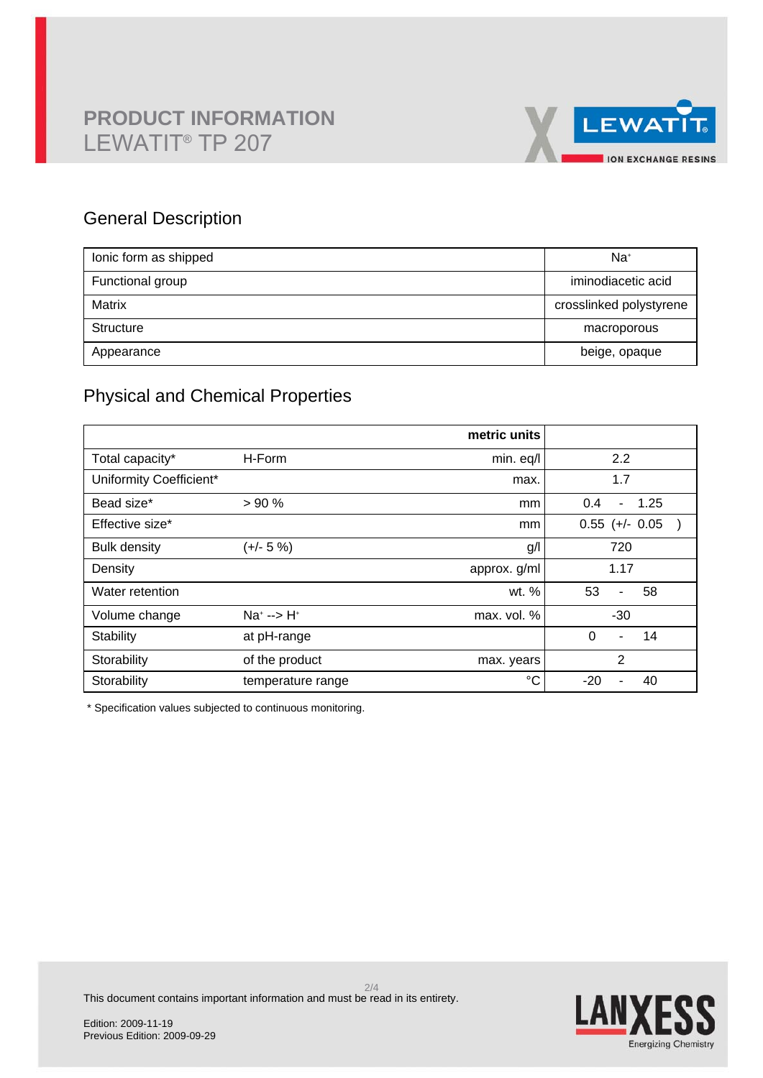

## General Description

| lonic form as shipped | $Na+$                   |
|-----------------------|-------------------------|
| Functional group      | iminodiacetic acid      |
| Matrix                | crosslinked polystyrene |
| Structure             | macroporous             |
| Appearance            | beige, opaque           |

# Physical and Chemical Properties

|                         |                            | metric units |                               |
|-------------------------|----------------------------|--------------|-------------------------------|
| Total capacity*         | H-Form                     | min. eq/l    | 2.2                           |
| Uniformity Coefficient* |                            | max.         | 1.7                           |
| Bead size*              | > 90%                      | mm           | 1.25<br>0.4<br>$\blacksquare$ |
| Effective size*         |                            | mm           | $0.55$ (+/- 0.05              |
| <b>Bulk density</b>     | $(+/- 5%)$                 | g/l          | 720                           |
| Density                 |                            | approx. g/ml | 1.17                          |
| Water retention         |                            | wt. %        | 53<br>58<br>$\blacksquare$    |
| Volume change           | $Na^{+} \rightarrow H^{+}$ | max. vol. %  | $-30$                         |
| Stability               | at pH-range                |              | $\Omega$<br>14<br>٠           |
| Storability             | of the product             | max. years   | $\overline{2}$                |
| Storability             | temperature range          | $^{\circ}C$  | $-20$<br>40                   |

\* Specification values subjected to continuous monitoring.

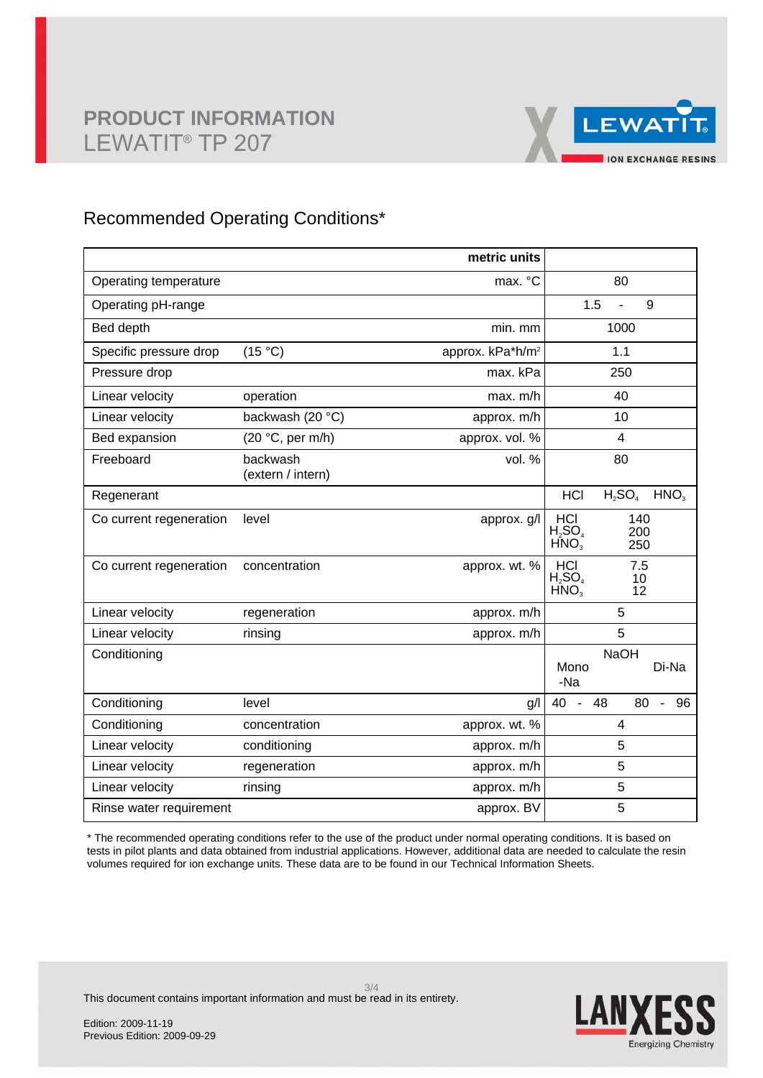

### Recommended Operating Conditions\*

|                         |                               | metric units                 |                                                                  |
|-------------------------|-------------------------------|------------------------------|------------------------------------------------------------------|
| Operating temperature   |                               | max. °C                      | 80                                                               |
| Operating pH-range      |                               |                              | 1.5<br>9                                                         |
| Bed depth               |                               | min. mm                      | 1000                                                             |
| Specific pressure drop  | (15 °C)                       | approx. kPa*h/m <sup>2</sup> | 1.1                                                              |
| Pressure drop           |                               | max. kPa                     | 250                                                              |
| Linear velocity         | operation                     | max. m/h                     | 40                                                               |
| Linear velocity         | backwash (20 °C)              | approx. m/h                  | 10                                                               |
| Bed expansion           | (20 °C, per m/h)              | approx. vol. %               | 4                                                                |
| Freeboard               | backwash<br>(extern / intern) | vol. %                       | 80                                                               |
| Regenerant              |                               |                              | $H_2SO_4$<br>HNO <sub>3</sub><br><b>HCI</b>                      |
| Co current regeneration | level                         | approx. g/l                  | <b>HCI</b><br>140<br>$H_2SO_4$<br>200<br>HNO <sub>3</sub><br>250 |
| Co current regeneration | concentration                 | approx. wt. %                | HCI<br>7.5<br>$H_2SO_4$<br>10<br>HNO <sub>3</sub><br>12          |
| Linear velocity         | regeneration                  | approx. m/h                  | 5                                                                |
| Linear velocity         | rinsing                       | approx. m/h                  | 5                                                                |
| Conditioning            |                               |                              | <b>NaOH</b><br>Di-Na<br>Mono<br>-Na                              |
| Conditioning            | level                         | g/                           | 80<br>40<br>48<br>96<br>$\blacksquare$<br>$\blacksquare$         |
| Conditioning            | concentration                 | approx. wt. %                | 4                                                                |
| Linear velocity         | conditioning                  | approx. m/h                  | 5                                                                |
| Linear velocity         | regeneration                  | approx. m/h                  | 5                                                                |
| Linear velocity         | rinsing                       | approx. m/h                  | 5                                                                |
| Rinse water requirement |                               | approx. BV                   | 5                                                                |

\* The recommended operating conditions refer to the use of the product under normal operating conditions. It is based on tests in pilot plants and data obtained from industrial applications. However, additional data are needed to calculate the resin volumes required for ion exchange units. These data are to be found in our Technical Information Sheets.